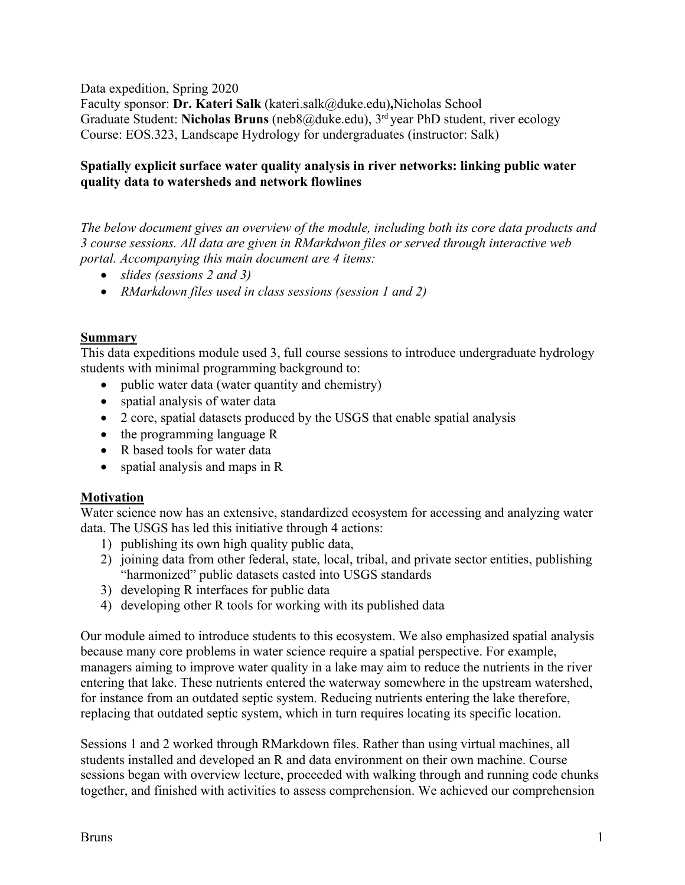Data expedition, Spring 2020

Faculty sponsor: **Dr. Kateri Salk** (kateri.salk@duke.edu)**,**Nicholas School Graduate Student: **Nicholas Bruns** (neb8@duke.edu), 3<sup>rd</sup> year PhD student, river ecology Course: EOS.323, Landscape Hydrology for undergraduates (instructor: Salk)

## **Spatially explicit surface water quality analysis in river networks: linking public water quality data to watersheds and network flowlines**

*The below document gives an overview of the module, including both its core data products and 3 course sessions. All data are given in RMarkdwon files or served through interactive web portal. Accompanying this main document are 4 items:*

- *slides (sessions 2 and 3)*
- *RMarkdown files used in class sessions (session 1 and 2)*

# **Summary**

This data expeditions module used 3, full course sessions to introduce undergraduate hydrology students with minimal programming background to:

- public water data (water quantity and chemistry)
- spatial analysis of water data
- 2 core, spatial datasets produced by the USGS that enable spatial analysis
- the programming language R
- R based tools for water data
- spatial analysis and maps in R

## **Motivation**

Water science now has an extensive, standardized ecosystem for accessing and analyzing water data. The USGS has led this initiative through 4 actions:

- 1) publishing its own high quality public data,
- 2) joining data from other federal, state, local, tribal, and private sector entities, publishing "harmonized" public datasets casted into USGS standards
- 3) developing R interfaces for public data
- 4) developing other R tools for working with its published data

Our module aimed to introduce students to this ecosystem. We also emphasized spatial analysis because many core problems in water science require a spatial perspective. For example, managers aiming to improve water quality in a lake may aim to reduce the nutrients in the river entering that lake. These nutrients entered the waterway somewhere in the upstream watershed, for instance from an outdated septic system. Reducing nutrients entering the lake therefore, replacing that outdated septic system, which in turn requires locating its specific location.

Sessions 1 and 2 worked through RMarkdown files. Rather than using virtual machines, all students installed and developed an R and data environment on their own machine. Course sessions began with overview lecture, proceeded with walking through and running code chunks together, and finished with activities to assess comprehension. We achieved our comprehension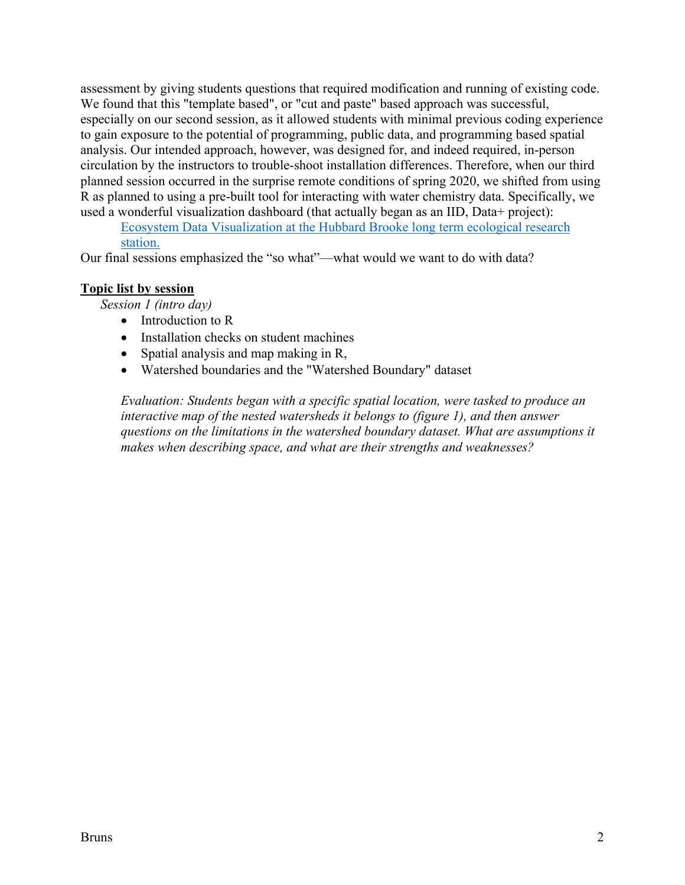assessment by giving students questions that required modification and running of existing code. We found that this "template based", or "cut and paste" based approach was successful, especially on our second session, as it allowed students with minimal previous coding experience to gain exposure to the potential of programming, public data, and programming based spatial analysis. Our intended approach, however, was designed for, and indeed required, in-person circulation by the instructors to trouble-shoot installation differences. Therefore, when our third planned session occurred in the surprise remote conditions of spring 2020, we shifted from using R as planned to using a pre-built tool for interacting with water chemistry data. Specifically, we used a wonderful visualization dashboard (that actually began as an IID, Data+ project):

Ecosystem Data Visualization at the Hubbard Brooke long term ecological research station.

Our final sessions emphasized the "so what"—what would we want to do with data?

#### **Topic list by session**

*Session 1 (intro day)*

- Introduction to R
- Installation checks on student machines
- Spatial analysis and map making in R,
- Watershed boundaries and the "Watershed Boundary" dataset

*Evaluation: Students began with a specific spatial location, were tasked to produce an interactive map of the nested watersheds it belongs to (figure 1), and then answer questions on the limitations in the watershed boundary dataset. What are assumptions it makes when describing space, and what are their strengths and weaknesses?*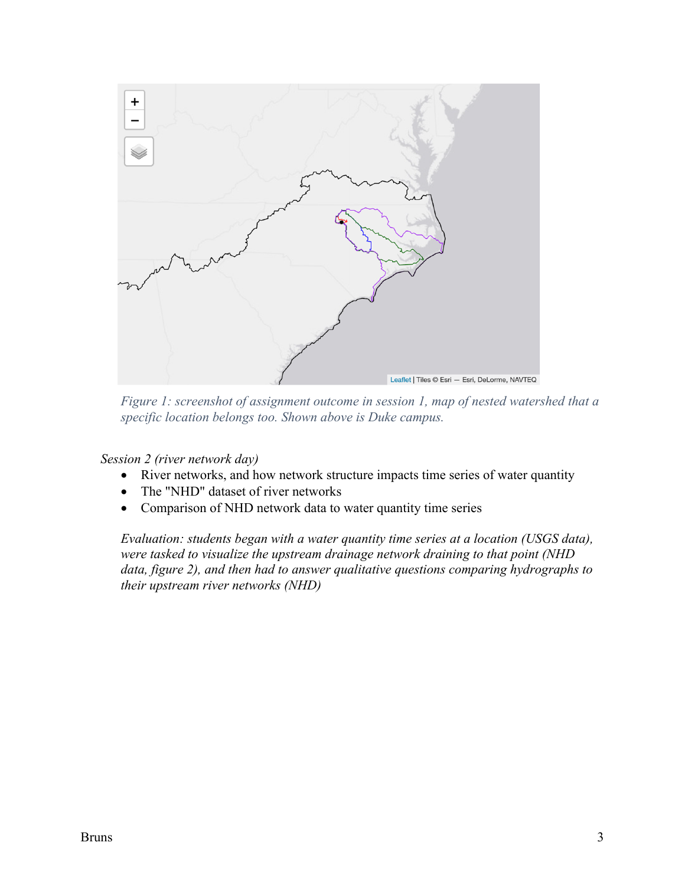

*Figure 1: screenshot of assignment outcome in session 1, map of nested watershed that a specific location belongs too. Shown above is Duke campus.*

*Session 2 (river network day)*

- River networks, and how network structure impacts time series of water quantity
- The "NHD" dataset of river networks
- Comparison of NHD network data to water quantity time series

*Evaluation: students began with a water quantity time series at a location (USGS data), were tasked to visualize the upstream drainage network draining to that point (NHD data, figure 2), and then had to answer qualitative questions comparing hydrographs to their upstream river networks (NHD)*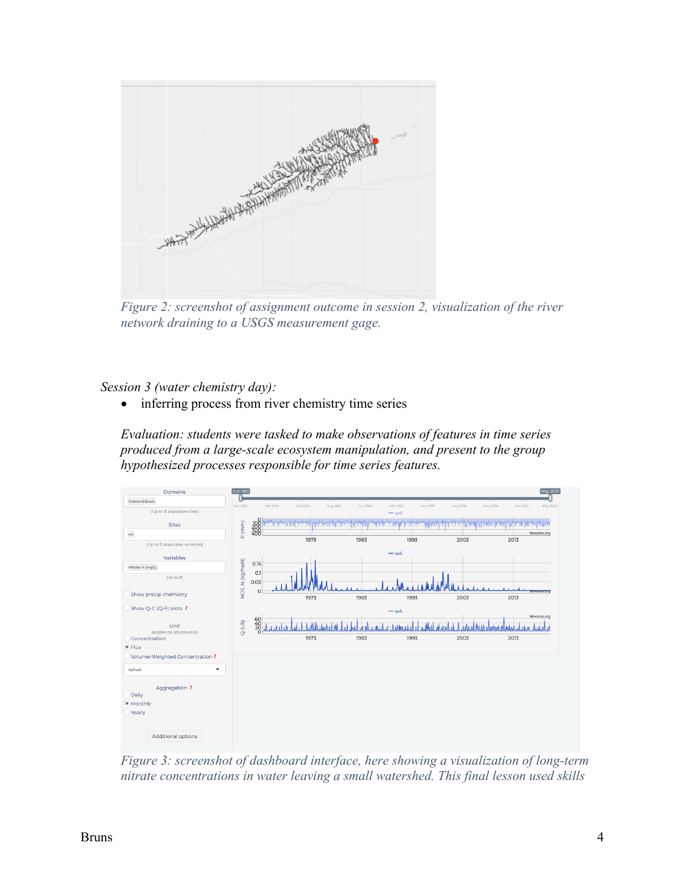

*Figure 2: screenshot of assignment outcome in session 2, visualization of the river network draining to a USGS measurement gage.*

*Session 3 (water chemistry day):* 

• inferring process from river chemistry time series

*Evaluation: students were tasked to make observations of features in time series produced from a large-scale ecosystem manipulation, and present to the group hypothesized processes responsible for time series features.* 



*Figure 3: screenshot of dashboard interface, here showing a visualization of long-term nitrate concentrations in water leaving a small watershed. This final lesson used skills*